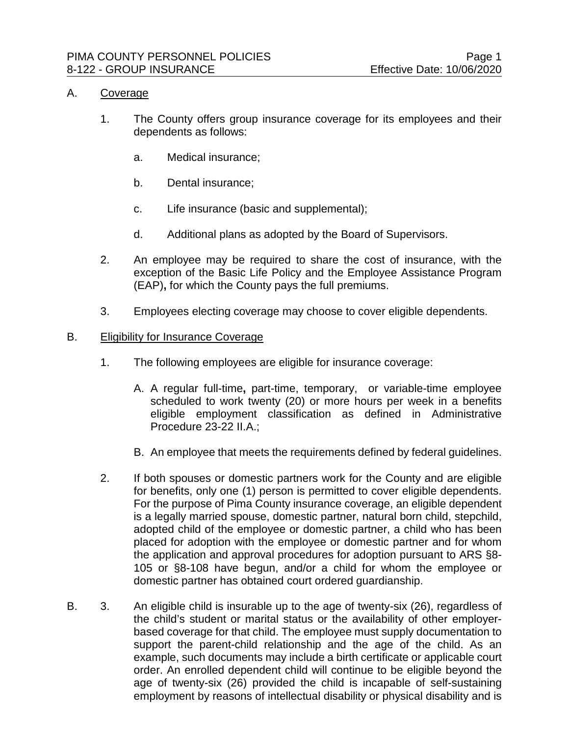#### A. Coverage

- 1. The County offers group insurance coverage for its employees and their dependents as follows:
	- a. Medical insurance;
	- b. Dental insurance;
	- c. Life insurance (basic and supplemental);
	- d. Additional plans as adopted by the Board of Supervisors.
- 2. An employee may be required to share the cost of insurance, with the exception of the Basic Life Policy and the Employee Assistance Program (EAP)**,** for which the County pays the full premiums.
- 3. Employees electing coverage may choose to cover eligible dependents.

#### B. Eligibility for Insurance Coverage

- 1. The following employees are eligible for insurance coverage:
	- A. A regular full-time**,** part-time, temporary, or variable-time employee scheduled to work twenty (20) or more hours per week in a benefits eligible employment classification as defined in Administrative Procedure 23-22 II.A.;
	- B. An employee that meets the requirements defined by federal guidelines.
- 2. If both spouses or domestic partners work for the County and are eligible for benefits, only one (1) person is permitted to cover eligible dependents. For the purpose of Pima County insurance coverage, an eligible dependent is a legally married spouse, domestic partner, natural born child, stepchild, adopted child of the employee or domestic partner, a child who has been placed for adoption with the employee or domestic partner and for whom the application and approval procedures for adoption pursuant to ARS §8- 105 or §8-108 have begun, and/or a child for whom the employee or domestic partner has obtained court ordered guardianship.
- B. 3. An eligible child is insurable up to the age of twenty-six (26), regardless of the child's student or marital status or the availability of other employerbased coverage for that child. The employee must supply documentation to support the parent-child relationship and the age of the child. As an example, such documents may include a birth certificate or applicable court order. An enrolled dependent child will continue to be eligible beyond the age of twenty-six (26) provided the child is incapable of self-sustaining employment by reasons of intellectual disability or physical disability and is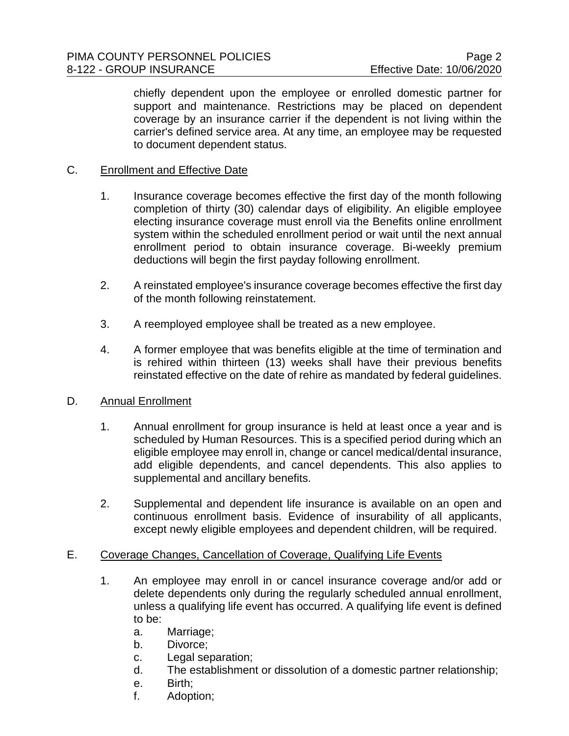chiefly dependent upon the employee or enrolled domestic partner for support and maintenance. Restrictions may be placed on dependent coverage by an insurance carrier if the dependent is not living within the carrier's defined service area. At any time, an employee may be requested to document dependent status.

### C. Enrollment and Effective Date

- 1. Insurance coverage becomes effective the first day of the month following completion of thirty (30) calendar days of eligibility. An eligible employee electing insurance coverage must enroll via the Benefits online enrollment system within the scheduled enrollment period or wait until the next annual enrollment period to obtain insurance coverage. Bi-weekly premium deductions will begin the first payday following enrollment.
- 2. A reinstated employee's insurance coverage becomes effective the first day of the month following reinstatement.
- 3. A reemployed employee shall be treated as a new employee.
- 4. A former employee that was benefits eligible at the time of termination and is rehired within thirteen (13) weeks shall have their previous benefits reinstated effective on the date of rehire as mandated by federal guidelines.

# D. Annual Enrollment

- 1. Annual enrollment for group insurance is held at least once a year and is scheduled by Human Resources. This is a specified period during which an eligible employee may enroll in, change or cancel medical/dental insurance, add eligible dependents, and cancel dependents. This also applies to supplemental and ancillary benefits.
- 2. Supplemental and dependent life insurance is available on an open and continuous enrollment basis. Evidence of insurability of all applicants, except newly eligible employees and dependent children, will be required.

# E. Coverage Changes, Cancellation of Coverage, Qualifying Life Events

- 1. An employee may enroll in or cancel insurance coverage and/or add or delete dependents only during the regularly scheduled annual enrollment, unless a qualifying life event has occurred. A qualifying life event is defined to be:
	- a. Marriage;
	- b. Divorce;
	- c. Legal separation;
	- d. The establishment or dissolution of a domestic partner relationship;
	- e. Birth;
	- f. Adoption;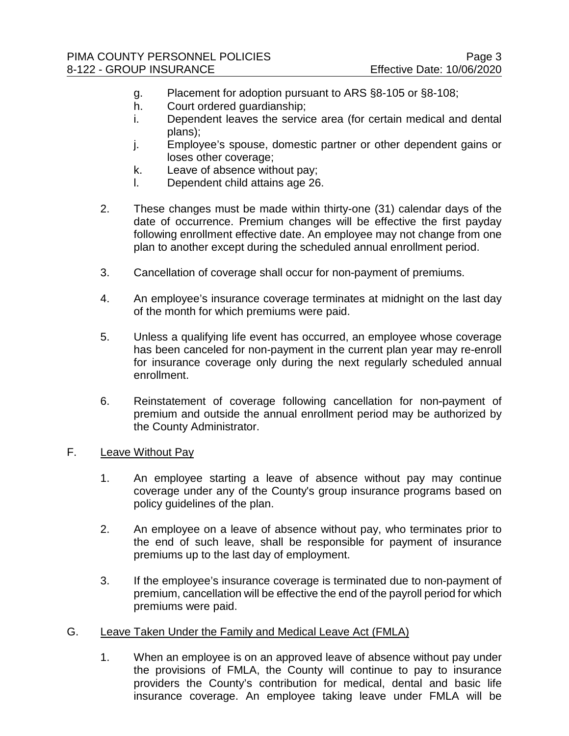- g. Placement for adoption pursuant to ARS §8-105 or §8-108;
- h. Court ordered guardianship;
- i. Dependent leaves the service area (for certain medical and dental plans);
- j. Employee's spouse, domestic partner or other dependent gains or loses other coverage;
- k. Leave of absence without pay;
- l. Dependent child attains age 26.
- 2. These changes must be made within thirty-one (31) calendar days of the date of occurrence. Premium changes will be effective the first payday following enrollment effective date. An employee may not change from one plan to another except during the scheduled annual enrollment period.
- 3. Cancellation of coverage shall occur for non-payment of premiums.
- 4. An employee's insurance coverage terminates at midnight on the last day of the month for which premiums were paid.
- 5. Unless a qualifying life event has occurred, an employee whose coverage has been canceled for non-payment in the current plan year may re-enroll for insurance coverage only during the next regularly scheduled annual enrollment.
- 6. Reinstatement of coverage following cancellation for non-payment of premium and outside the annual enrollment period may be authorized by the County Administrator.
- F. Leave Without Pay
	- 1. An employee starting a leave of absence without pay may continue coverage under any of the County's group insurance programs based on policy guidelines of the plan.
	- 2. An employee on a leave of absence without pay, who terminates prior to the end of such leave, shall be responsible for payment of insurance premiums up to the last day of employment.
	- 3. If the employee's insurance coverage is terminated due to non-payment of premium, cancellation will be effective the end of the payroll period for which premiums were paid.
- G. Leave Taken Under the Family and Medical Leave Act (FMLA)
	- 1. When an employee is on an approved leave of absence without pay under the provisions of FMLA, the County will continue to pay to insurance providers the County's contribution for medical, dental and basic life insurance coverage. An employee taking leave under FMLA will be